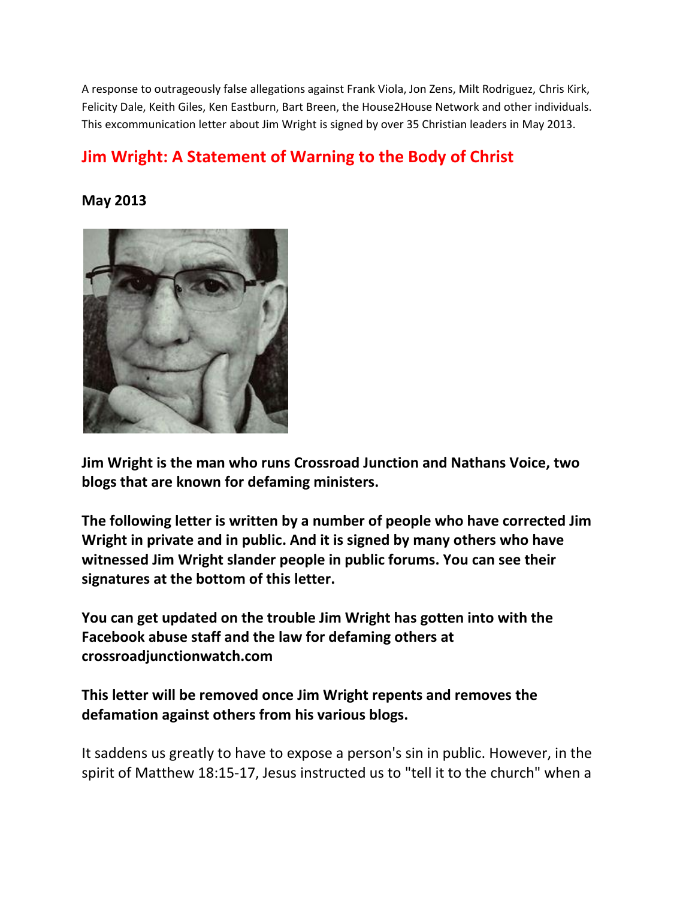A response to outrageously false allegations against Frank Viola, Jon Zens, Milt Rodriguez, Chris Kirk, Felicity Dale, Keith Giles, Ken Eastburn, Bart Breen, the House2House Network and other individuals. This excommunication letter about Jim Wright is signed by over 35 Christian leaders in May 2013.

# **Jim Wright: A Statement of Warning to the Body of Christ**

**May 2013**



**Jim Wright is the man who runs Crossroad Junction and Nathans Voice, two blogs that are known for defaming ministers.**

**The following letter is written by a number of people who have corrected Jim Wright in private and in public. And it is signed by many others who have witnessed Jim Wright slander people in public forums. You can see their signatures at the bottom of this letter.**

**You can get updated on the trouble Jim Wright has gotten into with the Facebook abuse staff and the law for defaming others at crossroadjunctionwatch.com**

**This letter will be removed once Jim Wright repents and removes the defamation against others from his various blogs.**

It saddens us greatly to have to expose a person's sin in public. However, in the spirit of Matthew 18:15-17, Jesus instructed us to "tell it to the church" when a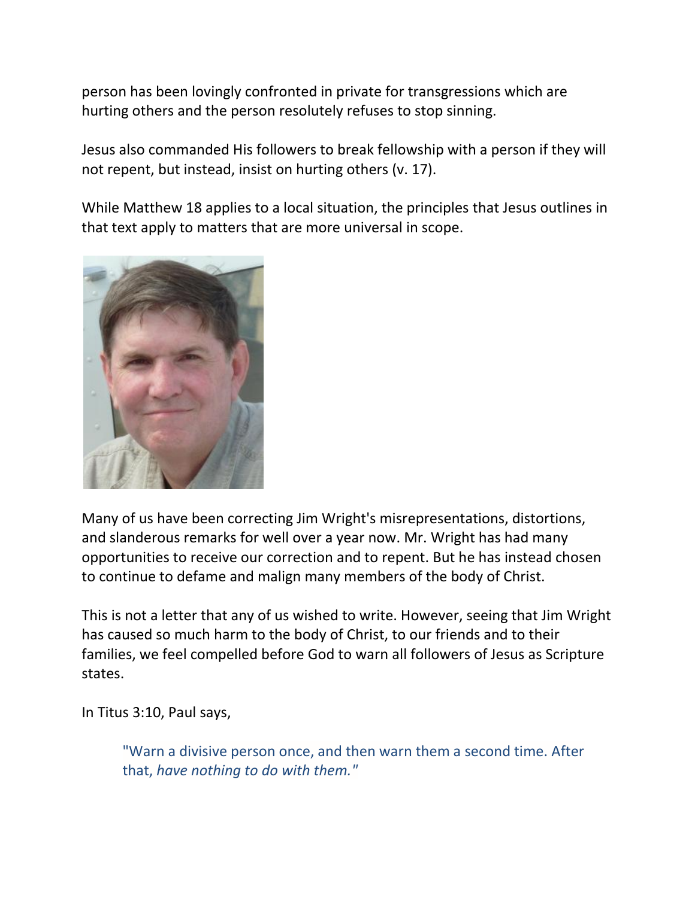person has been lovingly confronted in private for transgressions which are hurting others and the person resolutely refuses to stop sinning.

Jesus also commanded His followers to break fellowship with a person if they will not repent, but instead, insist on hurting others (v. 17).

While Matthew 18 applies to a local situation, the principles that Jesus outlines in that text apply to matters that are more universal in scope.



Many of us have been correcting Jim Wright's misrepresentations, distortions, and slanderous remarks for well over a year now. Mr. Wright has had many opportunities to receive our correction and to repent. But he has instead chosen to continue to defame and malign many members of the body of Christ.

This is not a letter that any of us wished to write. However, seeing that Jim Wright has caused so much harm to the body of Christ, to our friends and to their families, we feel compelled before God to warn all followers of Jesus as Scripture states.

In Titus 3:10, Paul says,

"Warn a divisive person once, and then warn them a second time. After that, *have nothing to do with them."*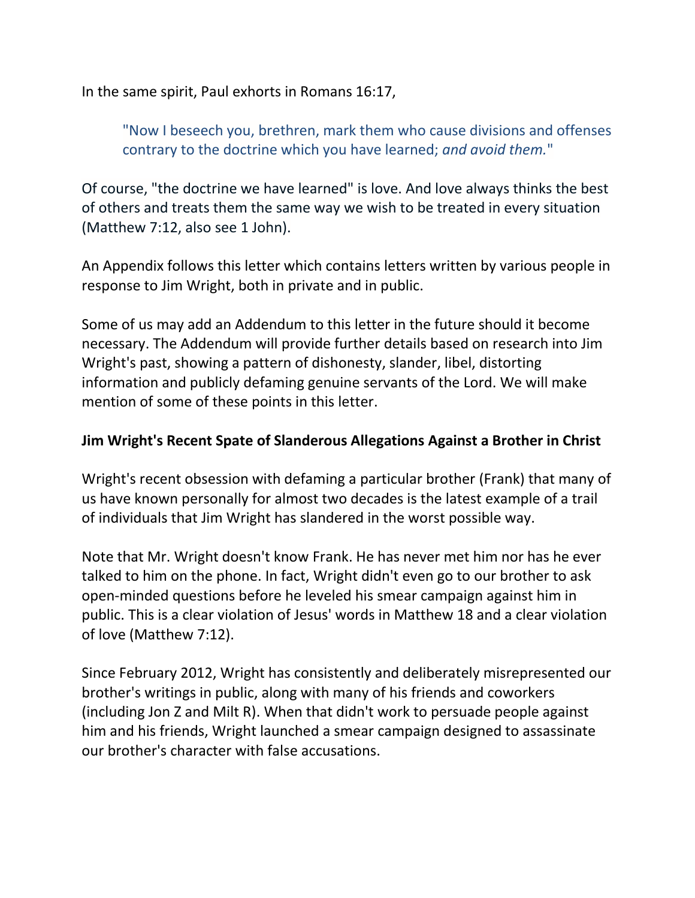In the same spirit, Paul exhorts in Romans 16:17,

"Now I beseech you, brethren, mark them who cause divisions and offenses contrary to the doctrine which you have learned; *and avoid them.*"

Of course, "the doctrine we have learned" is love. And love always thinks the best of others and treats them the same way we wish to be treated in every situation (Matthew 7:12, also see 1 John).

An Appendix follows this letter which contains letters written by various people in response to Jim Wright, both in private and in public.

Some of us may add an Addendum to this letter in the future should it become necessary. The Addendum will provide further details based on research into Jim Wright's past, showing a pattern of dishonesty, slander, libel, distorting information and publicly defaming genuine servants of the Lord. We will make mention of some of these points in this letter.

#### **Jim Wright's Recent Spate of Slanderous Allegations Against a Brother in Christ**

Wright's recent obsession with defaming a particular brother (Frank) that many of us have known personally for almost two decades is the latest example of a trail of individuals that Jim Wright has slandered in the worst possible way.

Note that Mr. Wright doesn't know Frank. He has never met him nor has he ever talked to him on the phone. In fact, Wright didn't even go to our brother to ask open-minded questions before he leveled his smear campaign against him in public. This is a clear violation of Jesus' words in Matthew 18 and a clear violation of love (Matthew 7:12).

Since February 2012, Wright has consistently and deliberately misrepresented our brother's writings in public, along with many of his friends and coworkers (including Jon Z and Milt R). When that didn't work to persuade people against him and his friends, Wright launched a smear campaign designed to assassinate our brother's character with false accusations.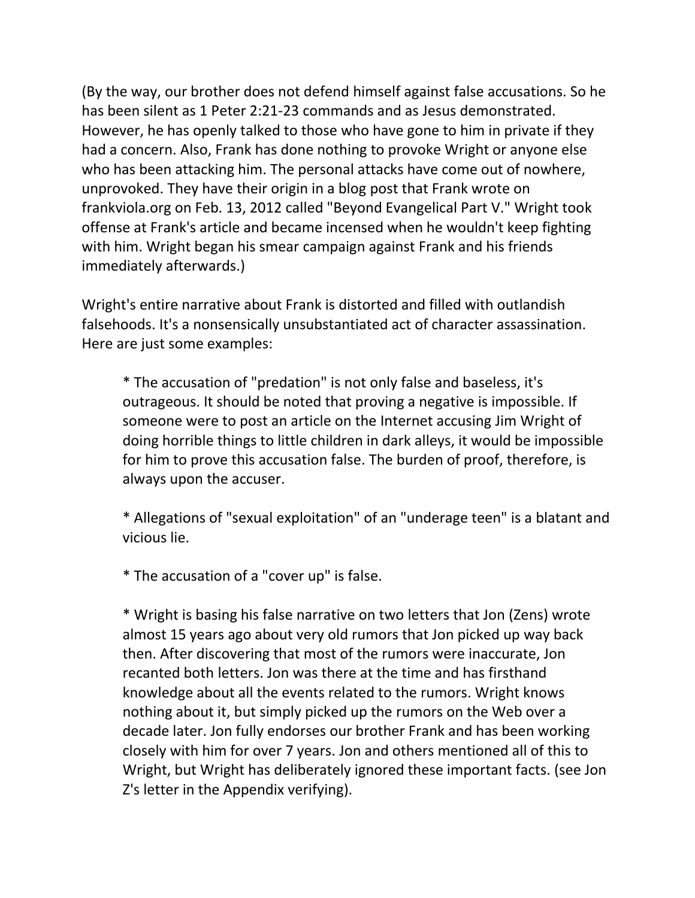(By the way, our brother does not defend himself against false accusations. So he has been silent as 1 Peter 2:21-23 commands and as Jesus demonstrated. However, he has openly talked to those who have gone to him in private if they had a concern. Also, Frank has done nothing to provoke Wright or anyone else who has been attacking him. The personal attacks have come out of nowhere, unprovoked. They have their origin in a blog post that Frank wrote on frankviola.org on Feb. 13, 2012 called "Beyond Evangelical Part V." Wright took offense at Frank's article and became incensed when he wouldn't keep fighting with him. Wright began his smear campaign against Frank and his friends immediately afterwards.)

Wright's entire narrative about Frank is distorted and filled with outlandish falsehoods. It's a nonsensically unsubstantiated act of character assassination. Here are just some examples:

\* The accusation of "predation" is not only false and baseless, it's outrageous. It should be noted that proving a negative is impossible. If someone were to post an article on the Internet accusing Jim Wright of doing horrible things to little children in dark alleys, it would be impossible for him to prove this accusation false. The burden of proof, therefore, is always upon the accuser.

\* Allegations of "sexual exploitation" of an "underage teen" is a blatant and vicious lie.

\* The accusation of a "cover up" is false.

\* Wright is basing his false narrative on two letters that Jon (Zens) wrote almost 15 years ago about very old rumors that Jon picked up way back then. After discovering that most of the rumors were inaccurate, Jon recanted both letters. Jon was there at the time and has firsthand knowledge about all the events related to the rumors. Wright knows nothing about it, but simply picked up the rumors on the Web over a decade later. Jon fully endorses our brother Frank and has been working closely with him for over 7 years. Jon and others mentioned all of this to Wright, but Wright has deliberately ignored these important facts. (see Jon Z's letter in the Appendix verifying).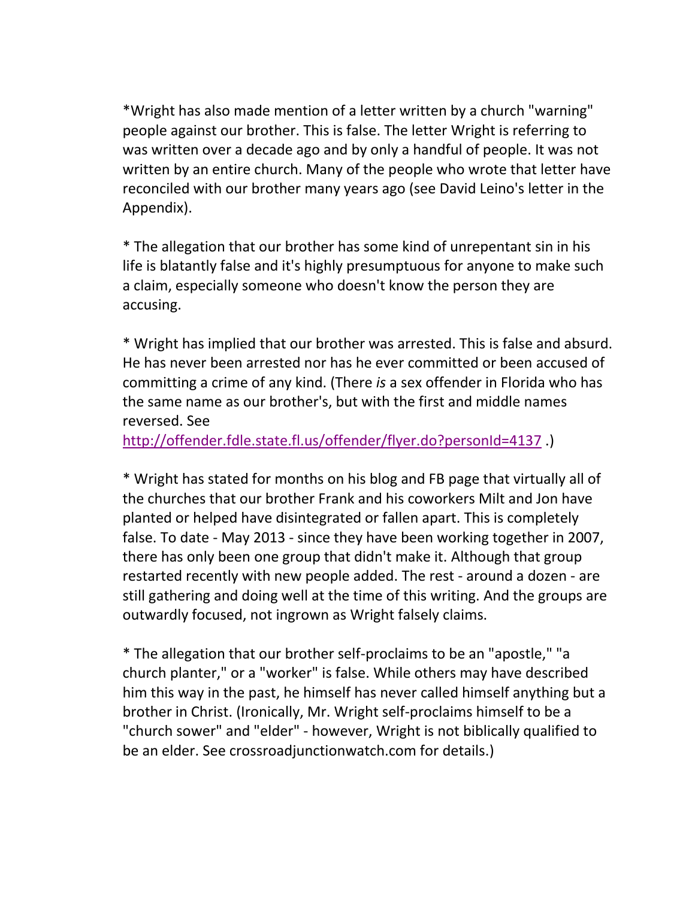\*Wright has also made mention of a letter written by a church "warning" people against our brother. This is false. The letter Wright is referring to was written over a decade ago and by only a handful of people. It was not written by an entire church. Many of the people who wrote that letter have reconciled with our brother many years ago (see David Leino's letter in the Appendix).

\* The allegation that our brother has some kind of unrepentant sin in his life is blatantly false and it's highly presumptuous for anyone to make such a claim, especially someone who doesn't know the person they are accusing.

\* Wright has implied that our brother was arrested. This is false and absurd. He has never been arrested nor has he ever committed or been accused of committing a crime of any kind. (There *is* a sex offender in Florida who has the same name as our brother's, but with the first and middle names reversed. See

<http://offender.fdle.state.fl.us/offender/flyer.do?personId=4137>.)

\* Wright has stated for months on his blog and FB page that virtually all of the churches that our brother Frank and his coworkers Milt and Jon have planted or helped have disintegrated or fallen apart. This is completely false. To date - May 2013 - since they have been working together in 2007, there has only been one group that didn't make it. Although that group restarted recently with new people added. The rest - around a dozen - are still gathering and doing well at the time of this writing. And the groups are outwardly focused, not ingrown as Wright falsely claims.

\* The allegation that our brother self-proclaims to be an "apostle," "a church planter," or a "worker" is false. While others may have described him this way in the past, he himself has never called himself anything but a brother in Christ. (Ironically, Mr. Wright self-proclaims himself to be a "church sower" and "elder" - however, Wright is not biblically qualified to be an elder. See crossroadjunctionwatch.com for details.)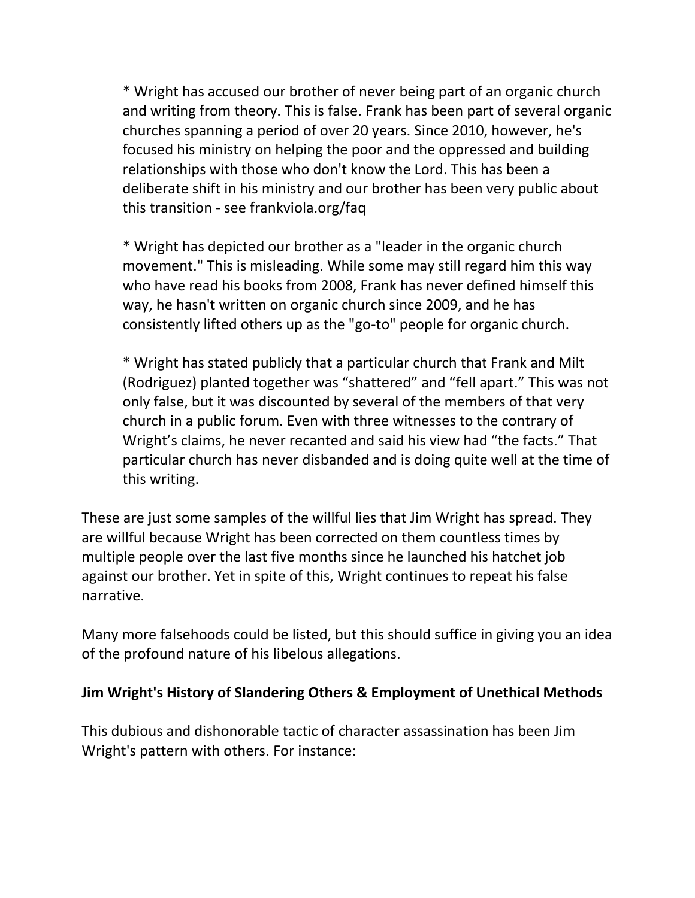\* Wright has accused our brother of never being part of an organic church and writing from theory. This is false. Frank has been part of several organic churches spanning a period of over 20 years. Since 2010, however, he's focused his ministry on helping the poor and the oppressed and building relationships with those who don't know the Lord. This has been a deliberate shift in his ministry and our brother has been very public about this transition - see frankviola.org/faq

\* Wright has depicted our brother as a "leader in the organic church movement." This is misleading. While some may still regard him this way who have read his books from 2008, Frank has never defined himself this way, he hasn't written on organic church since 2009, and he has consistently lifted others up as the "go-to" people for organic church.

\* Wright has stated publicly that a particular church that Frank and Milt (Rodriguez) planted together was "shattered" and "fell apart." This was not only false, but it was discounted by several of the members of that very church in a public forum. Even with three witnesses to the contrary of Wright's claims, he never recanted and said his view had "the facts." That particular church has never disbanded and is doing quite well at the time of this writing.

These are just some samples of the willful lies that Jim Wright has spread. They are willful because Wright has been corrected on them countless times by multiple people over the last five months since he launched his hatchet job against our brother. Yet in spite of this, Wright continues to repeat his false narrative.

Many more falsehoods could be listed, but this should suffice in giving you an idea of the profound nature of his libelous allegations.

#### **Jim Wright's History of Slandering Others & Employment of Unethical Methods**

This dubious and dishonorable tactic of character assassination has been Jim Wright's pattern with others. For instance: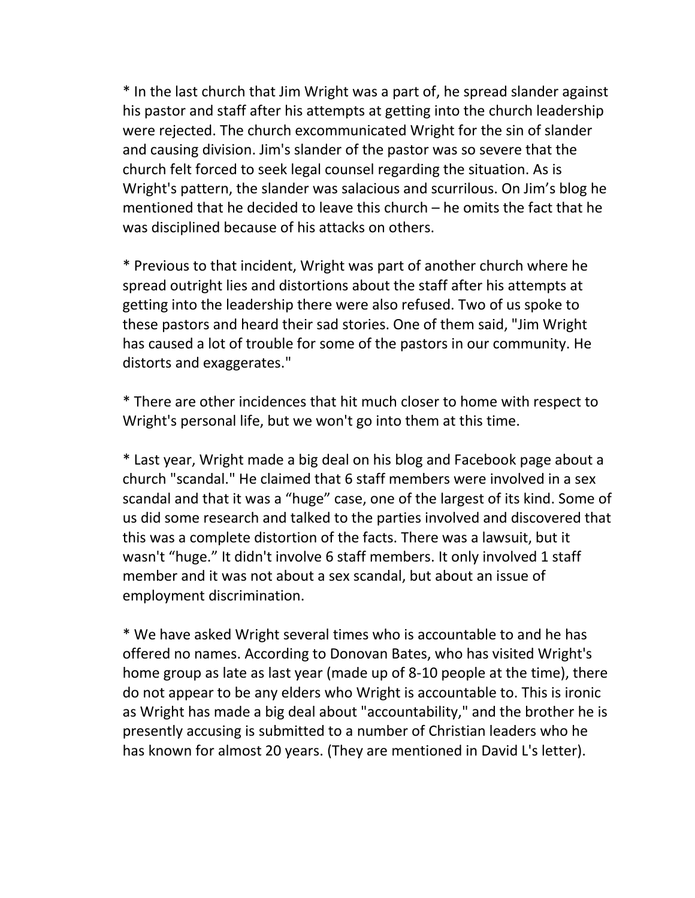\* In the last church that Jim Wright was a part of, he spread slander against his pastor and staff after his attempts at getting into the church leadership were rejected. The church excommunicated Wright for the sin of slander and causing division. Jim's slander of the pastor was so severe that the church felt forced to seek legal counsel regarding the situation. As is Wright's pattern, the slander was salacious and scurrilous. On Jim's blog he mentioned that he decided to leave this church – he omits the fact that he was disciplined because of his attacks on others.

\* Previous to that incident, Wright was part of another church where he spread outright lies and distortions about the staff after his attempts at getting into the leadership there were also refused. Two of us spoke to these pastors and heard their sad stories. One of them said, "Jim Wright has caused a lot of trouble for some of the pastors in our community. He distorts and exaggerates."

\* There are other incidences that hit much closer to home with respect to Wright's personal life, but we won't go into them at this time.

\* Last year, Wright made a big deal on his blog and Facebook page about a church "scandal." He claimed that 6 staff members were involved in a sex scandal and that it was a "huge" case, one of the largest of its kind. Some of us did some research and talked to the parties involved and discovered that this was a complete distortion of the facts. There was a lawsuit, but it wasn't "huge." It didn't involve 6 staff members. It only involved 1 staff member and it was not about a sex scandal, but about an issue of employment discrimination.

\* We have asked Wright several times who is accountable to and he has offered no names. According to Donovan Bates, who has visited Wright's home group as late as last year (made up of 8-10 people at the time), there do not appear to be any elders who Wright is accountable to. This is ironic as Wright has made a big deal about "accountability," and the brother he is presently accusing is submitted to a number of Christian leaders who he has known for almost 20 years. (They are mentioned in David L's letter).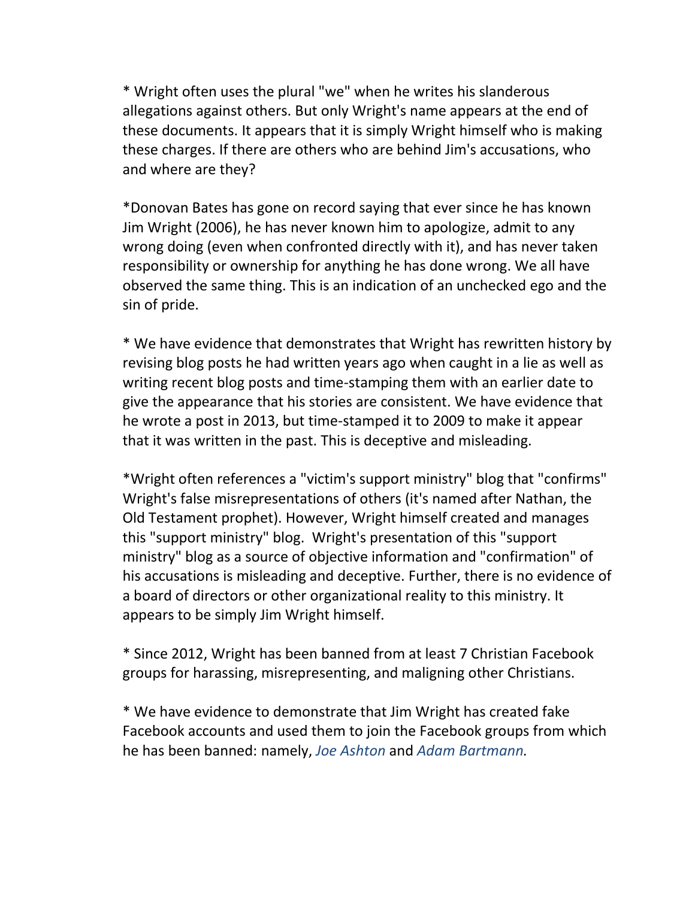\* Wright often uses the plural "we" when he writes his slanderous allegations against others. But only Wright's name appears at the end of these documents. It appears that it is simply Wright himself who is making these charges. If there are others who are behind Jim's accusations, who and where are they?

\*Donovan Bates has gone on record saying that ever since he has known Jim Wright (2006), he has never known him to apologize, admit to any wrong doing (even when confronted directly with it), and has never taken responsibility or ownership for anything he has done wrong. We all have observed the same thing. This is an indication of an unchecked ego and the sin of pride.

\* We have evidence that demonstrates that Wright has rewritten history by revising blog posts he had written years ago when caught in a lie as well as writing recent blog posts and time-stamping them with an earlier date to give the appearance that his stories are consistent. We have evidence that he wrote a post in 2013, but time-stamped it to 2009 to make it appear that it was written in the past. This is deceptive and misleading.

\*Wright often references a "victim's support ministry" blog that "confirms" Wright's false misrepresentations of others (it's named after Nathan, the Old Testament prophet). However, Wright himself created and manages this "support ministry" blog. Wright's presentation of this "support ministry" blog as a source of objective information and "confirmation" of his accusations is misleading and deceptive. Further, there is no evidence of a board of directors or other organizational reality to this ministry. It appears to be simply Jim Wright himself.

\* Since 2012, Wright has been banned from at least 7 Christian Facebook groups for harassing, misrepresenting, and maligning other Christians.

\* We have evidence to demonstrate that Jim Wright has created fake Facebook accounts and used them to join the Facebook groups from which he has been banned: namely, *Joe Ashton* and *Adam Bartmann.*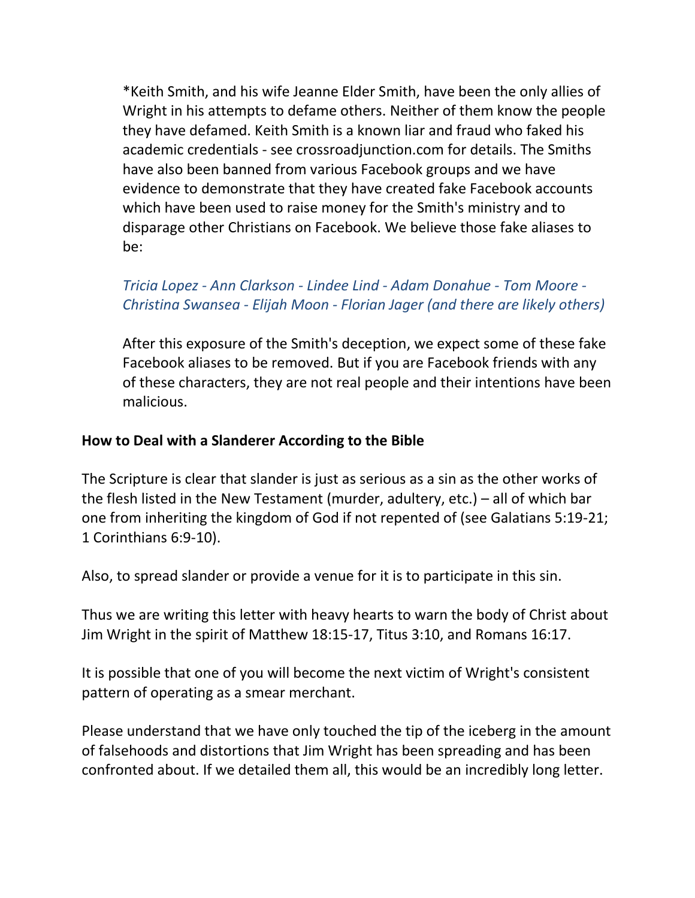\*Keith Smith, and his wife Jeanne Elder Smith, have been the only allies of Wright in his attempts to defame others. Neither of them know the people they have defamed. Keith Smith is a known liar and fraud who faked his academic credentials - see crossroadjunction.com for details. The Smiths have also been banned from various Facebook groups and we have evidence to demonstrate that they have created fake Facebook accounts which have been used to raise money for the Smith's ministry and to disparage other Christians on Facebook. We believe those fake aliases to be:

## *Tricia Lopez - Ann Clarkson - Lindee Lind - Adam Donahue - Tom Moore - Christina Swansea - Elijah Moon - Florian Jager (and there are likely others)*

After this exposure of the Smith's deception, we expect some of these fake Facebook aliases to be removed. But if you are Facebook friends with any of these characters, they are not real people and their intentions have been malicious.

#### **How to Deal with a Slanderer According to the Bible**

The Scripture is clear that slander is just as serious as a sin as the other works of the flesh listed in the New Testament (murder, adultery, etc.) – all of which bar one from inheriting the kingdom of God if not repented of (see Galatians 5:19-21; 1 Corinthians 6:9-10).

Also, to spread slander or provide a venue for it is to participate in this sin.

Thus we are writing this letter with heavy hearts to warn the body of Christ about Jim Wright in the spirit of Matthew 18:15-17, Titus 3:10, and Romans 16:17.

It is possible that one of you will become the next victim of Wright's consistent pattern of operating as a smear merchant.

Please understand that we have only touched the tip of the iceberg in the amount of falsehoods and distortions that Jim Wright has been spreading and has been confronted about. If we detailed them all, this would be an incredibly long letter.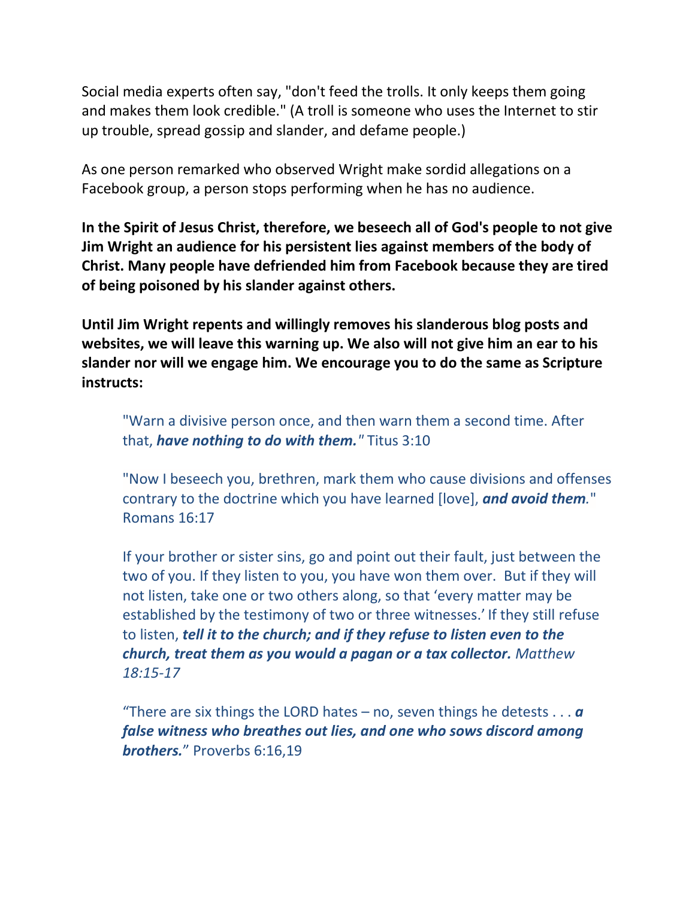Social media experts often say, "don't feed the trolls. It only keeps them going and makes them look credible." (A troll is someone who uses the Internet to stir up trouble, spread gossip and slander, and defame people.)

As one person remarked who observed Wright make sordid allegations on a Facebook group, a person stops performing when he has no audience.

**In the Spirit of Jesus Christ, therefore, we beseech all of God's people to not give Jim Wright an audience for his persistent lies against members of the body of Christ. Many people have defriended him from Facebook because they are tired of being poisoned by his slander against others.**

**Until Jim Wright repents and willingly removes his slanderous blog posts and websites, we will leave this warning up. We also will not give him an ear to his slander nor will we engage him. We encourage you to do the same as Scripture instructs:**

"Warn a divisive person once, and then warn them a second time. After that, *have nothing to do with them."* Titus 3:10

"Now I beseech you, brethren, mark them who cause divisions and offenses contrary to the doctrine which you have learned [love], *and avoid them.*" Romans 16:17

If your brother or sister sins, go and point out their fault, just between the two of you. If they listen to you, you have won them over. But if they will not listen, take one or two others along, so that 'every matter may be established by the testimony of two or three witnesses.' If they still refuse to listen, *tell it to the church; and if they refuse to listen even to the church, treat them as you would a pagan or a tax collector. Matthew 18:15-17*

"There are six things the LORD hates – no, seven things he detests  $\dots a$ *false witness who breathes out lies, and one who sows discord among brothers.*" Proverbs 6:16,19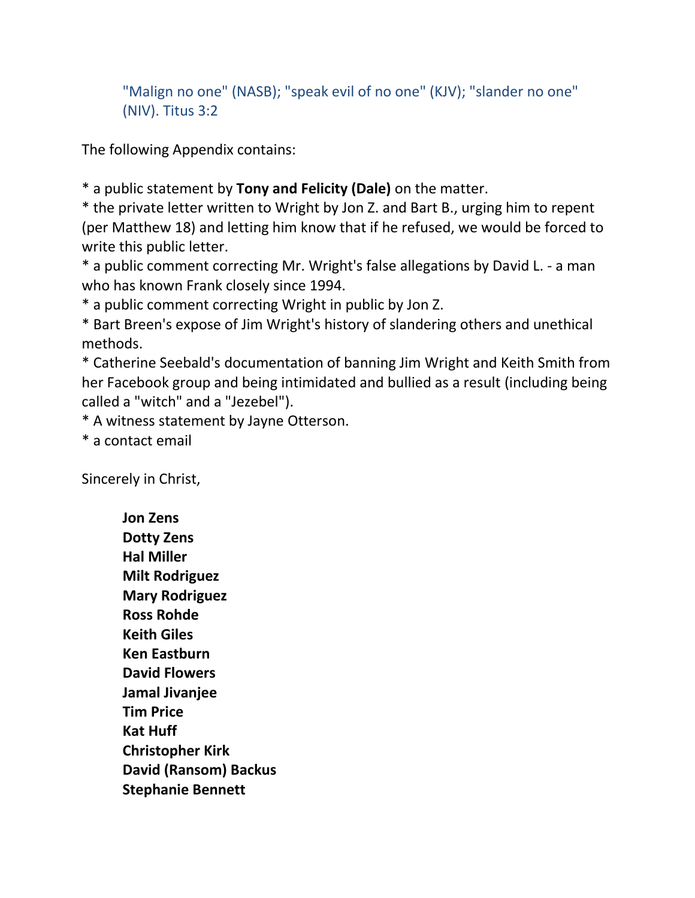"Malign no one" (NASB); "speak evil of no one" (KJV); "slander no one" (NIV). Titus 3:2

The following Appendix contains:

\* a public statement by **Tony and Felicity (Dale)** on the matter.

\* the private letter written to Wright by Jon Z. and Bart B., urging him to repent (per Matthew 18) and letting him know that if he refused, we would be forced to write this public letter.

\* a public comment correcting Mr. Wright's false allegations by David L. - a man who has known Frank closely since 1994.

\* a public comment correcting Wright in public by Jon Z.

\* Bart Breen's expose of Jim Wright's history of slandering others and unethical methods.

\* Catherine Seebald's documentation of banning Jim Wright and Keith Smith from her Facebook group and being intimidated and bullied as a result (including being called a "witch" and a "Jezebel").

\* A witness statement by Jayne Otterson.

\* a contact email

Sincerely in Christ,

**Jon Zens Dotty Zens Hal Miller Milt Rodriguez Mary Rodriguez Ross Rohde Keith Giles Ken Eastburn David Flowers Jamal Jivanjee Tim Price Kat Huff Christopher Kirk David (Ransom) Backus Stephanie Bennett**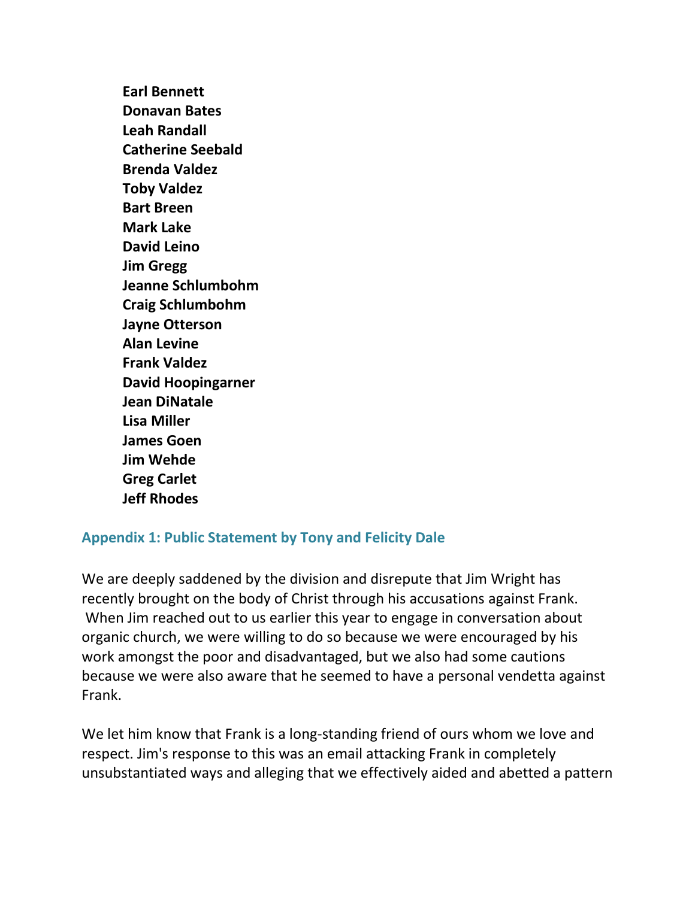**Earl Bennett Donavan Bates Leah Randall Catherine Seebald Brenda Valdez Toby Valdez Bart Breen Mark Lake David Leino Jim Gregg Jeanne Schlumbohm Craig Schlumbohm Jayne Otterson Alan Levine Frank Valdez David Hoopingarner Jean DiNatale Lisa Miller James Goen Jim Wehde Greg Carlet Jeff Rhodes**

## **Appendix 1: Public Statement by Tony and Felicity Dale**

We are deeply saddened by the division and disrepute that Jim Wright has recently brought on the body of Christ through his accusations against Frank. When Jim reached out to us earlier this year to engage in conversation about organic church, we were willing to do so because we were encouraged by his work amongst the poor and disadvantaged, but we also had some cautions because we were also aware that he seemed to have a personal vendetta against Frank.

We let him know that Frank is a long-standing friend of ours whom we love and respect. Jim's response to this was an email attacking Frank in completely unsubstantiated ways and alleging that we effectively aided and abetted a pattern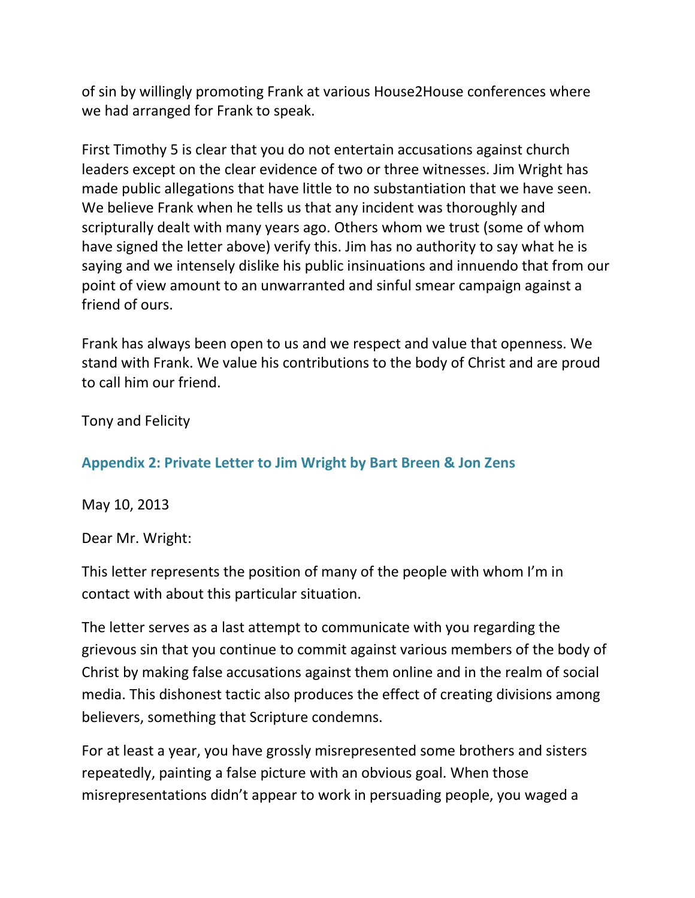of sin by willingly promoting Frank at various House2House conferences where we had arranged for Frank to speak.

First Timothy 5 is clear that you do not entertain accusations against church leaders except on the clear evidence of two or three witnesses. Jim Wright has made public allegations that have little to no substantiation that we have seen. We believe Frank when he tells us that any incident was thoroughly and scripturally dealt with many years ago. Others whom we trust (some of whom have signed the letter above) verify this. Jim has no authority to say what he is saying and we intensely dislike his public insinuations and innuendo that from our point of view amount to an unwarranted and sinful smear campaign against a friend of ours.

Frank has always been open to us and we respect and value that openness. We stand with Frank. We value his contributions to the body of Christ and are proud to call him our friend.

Tony and Felicity

**Appendix 2: Private Letter to Jim Wright by Bart Breen & Jon Zens**

May 10, 2013

Dear Mr. Wright:

This letter represents the position of many of the people with whom I'm in contact with about this particular situation.

The letter serves as a last attempt to communicate with you regarding the grievous sin that you continue to commit against various members of the body of Christ by making false accusations against them online and in the realm of social media. This dishonest tactic also produces the effect of creating divisions among believers, something that Scripture condemns.

For at least a year, you have grossly misrepresented some brothers and sisters repeatedly, painting a false picture with an obvious goal. When those misrepresentations didn't appear to work in persuading people, you waged a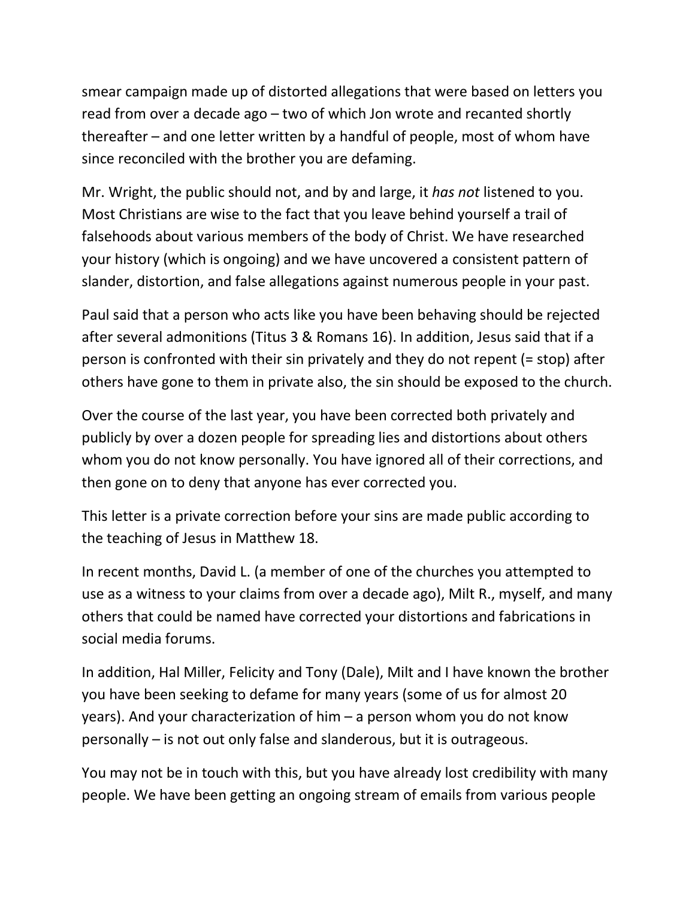smear campaign made up of distorted allegations that were based on letters you read from over a decade ago – two of which Jon wrote and recanted shortly thereafter – and one letter written by a handful of people, most of whom have since reconciled with the brother you are defaming.

Mr. Wright, the public should not, and by and large, it *has not* listened to you. Most Christians are wise to the fact that you leave behind yourself a trail of falsehoods about various members of the body of Christ. We have researched your history (which is ongoing) and we have uncovered a consistent pattern of slander, distortion, and false allegations against numerous people in your past.

Paul said that a person who acts like you have been behaving should be rejected after several admonitions (Titus 3 & Romans 16). In addition, Jesus said that if a person is confronted with their sin privately and they do not repent (= stop) after others have gone to them in private also, the sin should be exposed to the church.

Over the course of the last year, you have been corrected both privately and publicly by over a dozen people for spreading lies and distortions about others whom you do not know personally. You have ignored all of their corrections, and then gone on to deny that anyone has ever corrected you.

This letter is a private correction before your sins are made public according to the teaching of Jesus in Matthew 18.

In recent months, David L. (a member of one of the churches you attempted to use as a witness to your claims from over a decade ago), Milt R., myself, and many others that could be named have corrected your distortions and fabrications in social media forums.

In addition, Hal Miller, Felicity and Tony (Dale), Milt and I have known the brother you have been seeking to defame for many years (some of us for almost 20 years). And your characterization of him – a person whom you do not know personally – is not out only false and slanderous, but it is outrageous.

You may not be in touch with this, but you have already lost credibility with many people. We have been getting an ongoing stream of emails from various people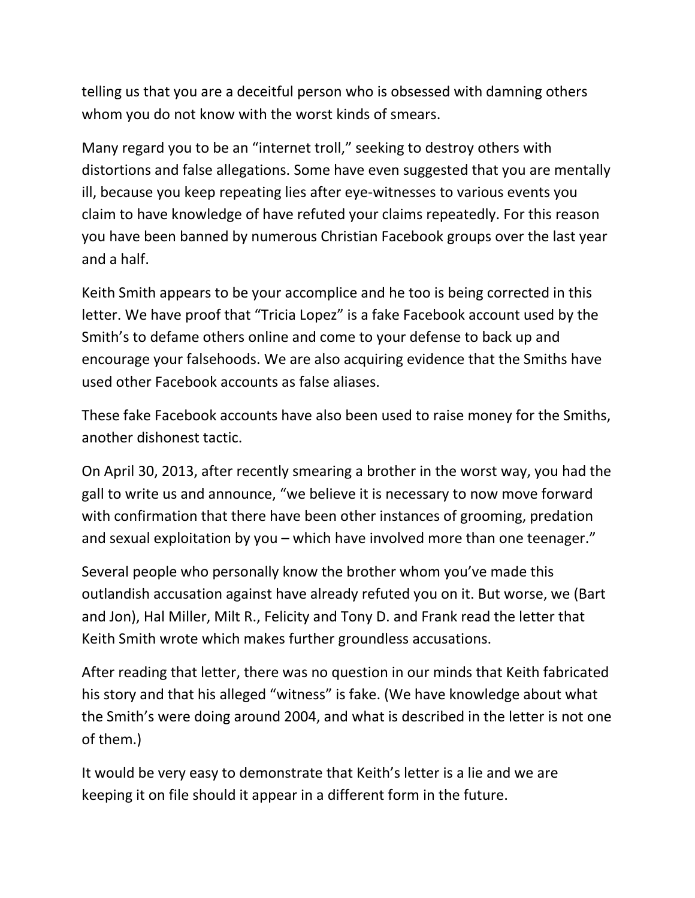telling us that you are a deceitful person who is obsessed with damning others whom you do not know with the worst kinds of smears.

Many regard you to be an "internet troll," seeking to destroy others with distortions and false allegations. Some have even suggested that you are mentally ill, because you keep repeating lies after eye-witnesses to various events you claim to have knowledge of have refuted your claims repeatedly. For this reason you have been banned by numerous Christian Facebook groups over the last year and a half.

Keith Smith appears to be your accomplice and he too is being corrected in this letter. We have proof that "Tricia Lopez" is a fake Facebook account used by the Smith's to defame others online and come to your defense to back up and encourage your falsehoods. We are also acquiring evidence that the Smiths have used other Facebook accounts as false aliases.

These fake Facebook accounts have also been used to raise money for the Smiths, another dishonest tactic.

On April 30, 2013, after recently smearing a brother in the worst way, you had the gall to write us and announce, "we believe it is necessary to now move forward with confirmation that there have been other instances of grooming, predation and sexual exploitation by you – which have involved more than one teenager."

Several people who personally know the brother whom you've made this outlandish accusation against have already refuted you on it. But worse, we (Bart and Jon), Hal Miller, Milt R., Felicity and Tony D. and Frank read the letter that Keith Smith wrote which makes further groundless accusations.

After reading that letter, there was no question in our minds that Keith fabricated his story and that his alleged "witness" is fake. (We have knowledge about what the Smith's were doing around 2004, and what is described in the letter is not one of them.)

It would be very easy to demonstrate that Keith's letter is a lie and we are keeping it on file should it appear in a different form in the future.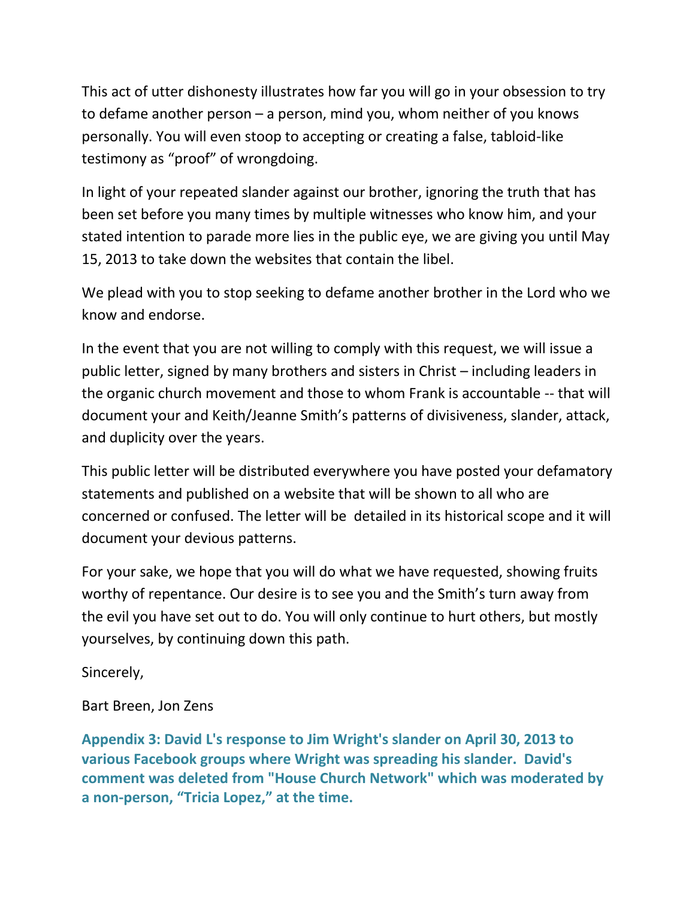This act of utter dishonesty illustrates how far you will go in your obsession to try to defame another person – a person, mind you, whom neither of you knows personally. You will even stoop to accepting or creating a false, tabloid-like testimony as "proof" of wrongdoing.

In light of your repeated slander against our brother, ignoring the truth that has been set before you many times by multiple witnesses who know him, and your stated intention to parade more lies in the public eye, we are giving you until May 15, 2013 to take down the websites that contain the libel.

We plead with you to stop seeking to defame another brother in the Lord who we know and endorse.

In the event that you are not willing to comply with this request, we will issue a public letter, signed by many brothers and sisters in Christ – including leaders in the organic church movement and those to whom Frank is accountable -- that will document your and Keith/Jeanne Smith's patterns of divisiveness, slander, attack, and duplicity over the years.

This public letter will be distributed everywhere you have posted your defamatory statements and published on a website that will be shown to all who are concerned or confused. The letter will be detailed in its historical scope and it will document your devious patterns.

For your sake, we hope that you will do what we have requested, showing fruits worthy of repentance. Our desire is to see you and the Smith's turn away from the evil you have set out to do. You will only continue to hurt others, but mostly yourselves, by continuing down this path.

Sincerely,

Bart Breen, Jon Zens

**Appendix 3: David L's response to Jim Wright's slander on April 30, 2013 to various Facebook groups where Wright was spreading his slander. David's comment was deleted from "House Church Network" which was moderated by a non-person, "Tricia Lopez," at the time.**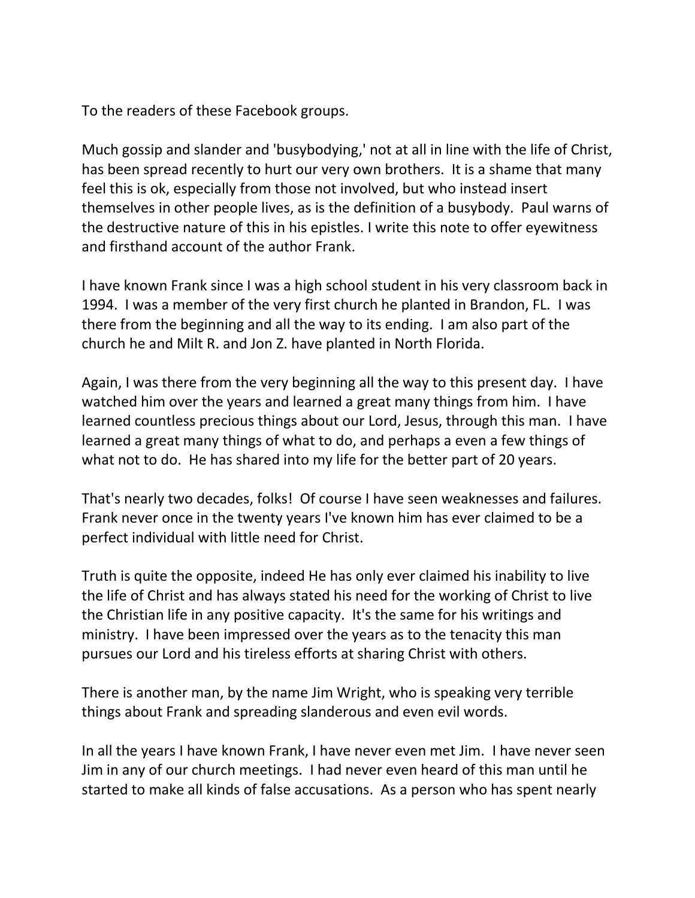To the readers of these Facebook groups.

Much gossip and slander and 'busybodying,' not at all in line with the life of Christ, has been spread recently to hurt our very own brothers. It is a shame that many feel this is ok, especially from those not involved, but who instead insert themselves in other people lives, as is the definition of a busybody. Paul warns of the destructive nature of this in his epistles. I write this note to offer eyewitness and firsthand account of the author Frank.

I have known Frank since I was a high school student in his very classroom back in 1994. I was a member of the very first church he planted in Brandon, FL. I was there from the beginning and all the way to its ending. I am also part of the church he and Milt R. and Jon Z. have planted in North Florida.

Again, I was there from the very beginning all the way to this present day. I have watched him over the years and learned a great many things from him. I have learned countless precious things about our Lord, Jesus, through this man. I have learned a great many things of what to do, and perhaps a even a few things of what not to do. He has shared into my life for the better part of 20 years.

That's nearly two decades, folks! Of course I have seen weaknesses and failures. Frank never once in the twenty years I've known him has ever claimed to be a perfect individual with little need for Christ.

Truth is quite the opposite, indeed He has only ever claimed his inability to live the life of Christ and has always stated his need for the working of Christ to live the Christian life in any positive capacity. It's the same for his writings and ministry. I have been impressed over the years as to the tenacity this man pursues our Lord and his tireless efforts at sharing Christ with others.

There is another man, by the name Jim Wright, who is speaking very terrible things about Frank and spreading slanderous and even evil words.

In all the years I have known Frank, I have never even met Jim. I have never seen Jim in any of our church meetings. I had never even heard of this man until he started to make all kinds of false accusations. As a person who has spent nearly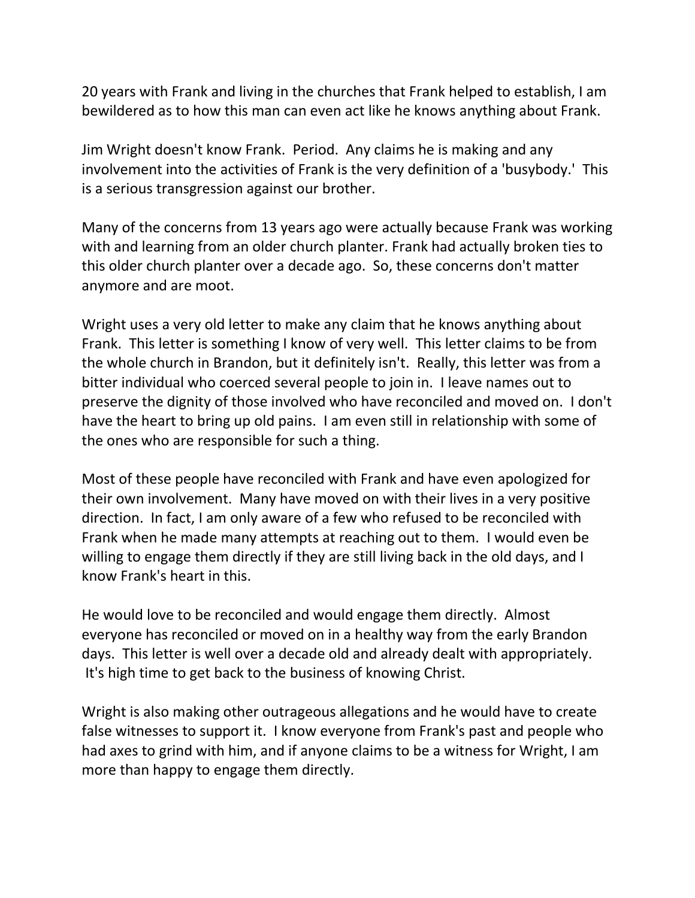20 years with Frank and living in the churches that Frank helped to establish, I am bewildered as to how this man can even act like he knows anything about Frank.

Jim Wright doesn't know Frank. Period. Any claims he is making and any involvement into the activities of Frank is the very definition of a 'busybody.' This is a serious transgression against our brother.

Many of the concerns from 13 years ago were actually because Frank was working with and learning from an older church planter. Frank had actually broken ties to this older church planter over a decade ago. So, these concerns don't matter anymore and are moot.

Wright uses a very old letter to make any claim that he knows anything about Frank. This letter is something I know of very well. This letter claims to be from the whole church in Brandon, but it definitely isn't. Really, this letter was from a bitter individual who coerced several people to join in. I leave names out to preserve the dignity of those involved who have reconciled and moved on. I don't have the heart to bring up old pains. I am even still in relationship with some of the ones who are responsible for such a thing.

Most of these people have reconciled with Frank and have even apologized for their own involvement. Many have moved on with their lives in a very positive direction. In fact, I am only aware of a few who refused to be reconciled with Frank when he made many attempts at reaching out to them. I would even be willing to engage them directly if they are still living back in the old days, and I know Frank's heart in this.

He would love to be reconciled and would engage them directly. Almost everyone has reconciled or moved on in a healthy way from the early Brandon days. This letter is well over a decade old and already dealt with appropriately. It's high time to get back to the business of knowing Christ.

Wright is also making other outrageous allegations and he would have to create false witnesses to support it. I know everyone from Frank's past and people who had axes to grind with him, and if anyone claims to be a witness for Wright, I am more than happy to engage them directly.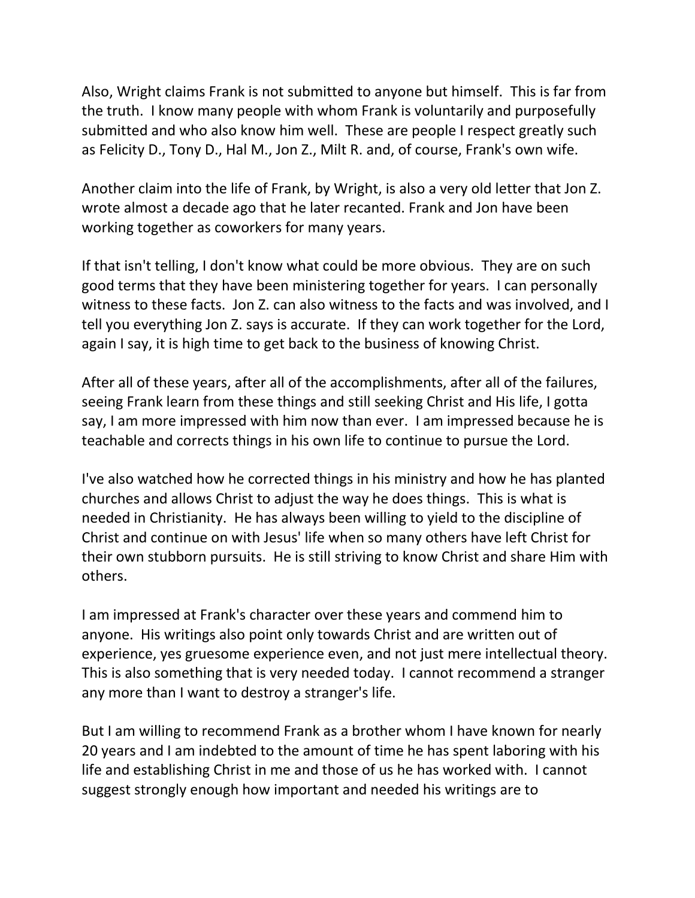Also, Wright claims Frank is not submitted to anyone but himself. This is far from the truth. I know many people with whom Frank is voluntarily and purposefully submitted and who also know him well. These are people I respect greatly such as Felicity D., Tony D., Hal M., Jon Z., Milt R. and, of course, Frank's own wife.

Another claim into the life of Frank, by Wright, is also a very old letter that Jon Z. wrote almost a decade ago that he later recanted. Frank and Jon have been working together as coworkers for many years.

If that isn't telling, I don't know what could be more obvious. They are on such good terms that they have been ministering together for years. I can personally witness to these facts. Jon Z. can also witness to the facts and was involved, and I tell you everything Jon Z. says is accurate. If they can work together for the Lord, again I say, it is high time to get back to the business of knowing Christ.

After all of these years, after all of the accomplishments, after all of the failures, seeing Frank learn from these things and still seeking Christ and His life, I gotta say, I am more impressed with him now than ever. I am impressed because he is teachable and corrects things in his own life to continue to pursue the Lord.

I've also watched how he corrected things in his ministry and how he has planted churches and allows Christ to adjust the way he does things. This is what is needed in Christianity. He has always been willing to yield to the discipline of Christ and continue on with Jesus' life when so many others have left Christ for their own stubborn pursuits. He is still striving to know Christ and share Him with others.

I am impressed at Frank's character over these years and commend him to anyone. His writings also point only towards Christ and are written out of experience, yes gruesome experience even, and not just mere intellectual theory. This is also something that is very needed today. I cannot recommend a stranger any more than I want to destroy a stranger's life.

But I am willing to recommend Frank as a brother whom I have known for nearly 20 years and I am indebted to the amount of time he has spent laboring with his life and establishing Christ in me and those of us he has worked with. I cannot suggest strongly enough how important and needed his writings are to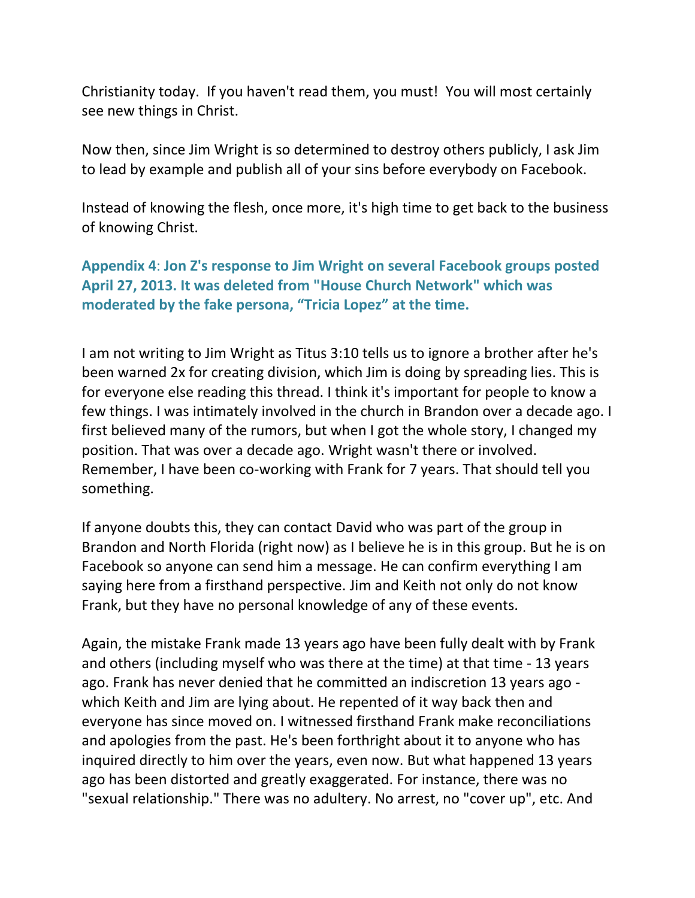Christianity today. If you haven't read them, you must! You will most certainly see new things in Christ.

Now then, since Jim Wright is so determined to destroy others publicly, I ask Jim to lead by example and publish all of your sins before everybody on Facebook.

Instead of knowing the flesh, once more, it's high time to get back to the business of knowing Christ.

**Appendix 4**: **Jon Z's response to Jim Wright on several Facebook groups posted April 27, 2013. It was deleted from "House Church Network" which was moderated by the fake persona, "Tricia Lopez" at the time.**

I am not writing to Jim Wright as Titus 3:10 tells us to ignore a brother after he's been warned 2x for creating division, which Jim is doing by spreading lies. This is for everyone else reading this thread. I think it's important for people to know a few things. I was intimately involved in the church in Brandon over a decade ago. I first believed many of the rumors, but when I got the whole story, I changed my position. That was over a decade ago. Wright wasn't there or involved. Remember, I have been co-working with Frank for 7 years. That should tell you something.

If anyone doubts this, they can contact David who was part of the group in Brandon and North Florida (right now) as I believe he is in this group. But he is on Facebook so anyone can send him a message. He can confirm everything I am saying here from a firsthand perspective. Jim and Keith not only do not know Frank, but they have no personal knowledge of any of these events.

Again, the mistake Frank made 13 years ago have been fully dealt with by Frank and others (including myself who was there at the time) at that time - 13 years ago. Frank has never denied that he committed an indiscretion 13 years ago which Keith and Jim are lying about. He repented of it way back then and everyone has since moved on. I witnessed firsthand Frank make reconciliations and apologies from the past. He's been forthright about it to anyone who has inquired directly to him over the years, even now. But what happened 13 years ago has been distorted and greatly exaggerated. For instance, there was no "sexual relationship." There was no adultery. No arrest, no "cover up", etc. And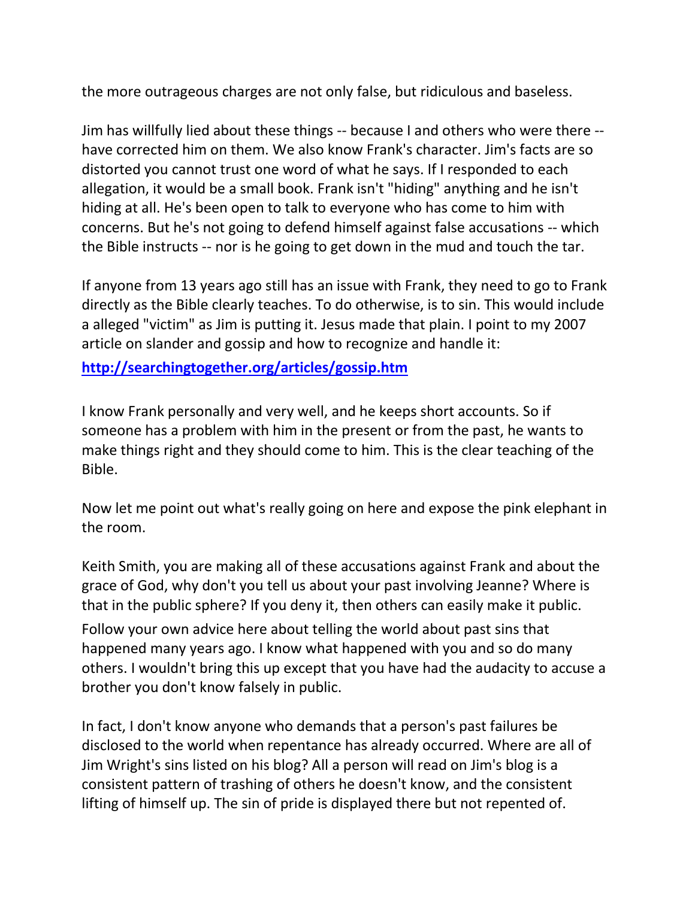the more outrageous charges are not only false, but ridiculous and baseless.

Jim has willfully lied about these things -- because I and others who were there - have corrected him on them. We also know Frank's character. Jim's facts are so distorted you cannot trust one word of what he says. If I responded to each allegation, it would be a small book. Frank isn't "hiding" anything and he isn't hiding at all. He's been open to talk to everyone who has come to him with concerns. But he's not going to defend himself against false accusations -- which the Bible instructs -- nor is he going to get down in the mud and touch the tar.

If anyone from 13 years ago still has an issue with Frank, they need to go to Frank directly as the Bible clearly teaches. To do otherwise, is to sin. This would include a alleged "victim" as Jim is putting it. Jesus made that plain. I point to my 2007 article on slander and gossip and how to recognize and handle it:

**<http://searchingtogether.org/articles/gossip.htm>**

I know Frank personally and very well, and he keeps short accounts. So if someone has a problem with him in the present or from the past, he wants to make things right and they should come to him. This is the clear teaching of the Bible.

Now let me point out what's really going on here and expose the pink elephant in the room.

Keith Smith, you are making all of these accusations against Frank and about the grace of God, why don't you tell us about your past involving Jeanne? Where is that in the public sphere? If you deny it, then others can easily make it public.

Follow your own advice here about telling the world about past sins that happened many years ago. I know what happened with you and so do many others. I wouldn't bring this up except that you have had the audacity to accuse a brother you don't know falsely in public.

In fact, I don't know anyone who demands that a person's past failures be disclosed to the world when repentance has already occurred. Where are all of Jim Wright's sins listed on his blog? All a person will read on Jim's blog is a consistent pattern of trashing of others he doesn't know, and the consistent lifting of himself up. The sin of pride is displayed there but not repented of.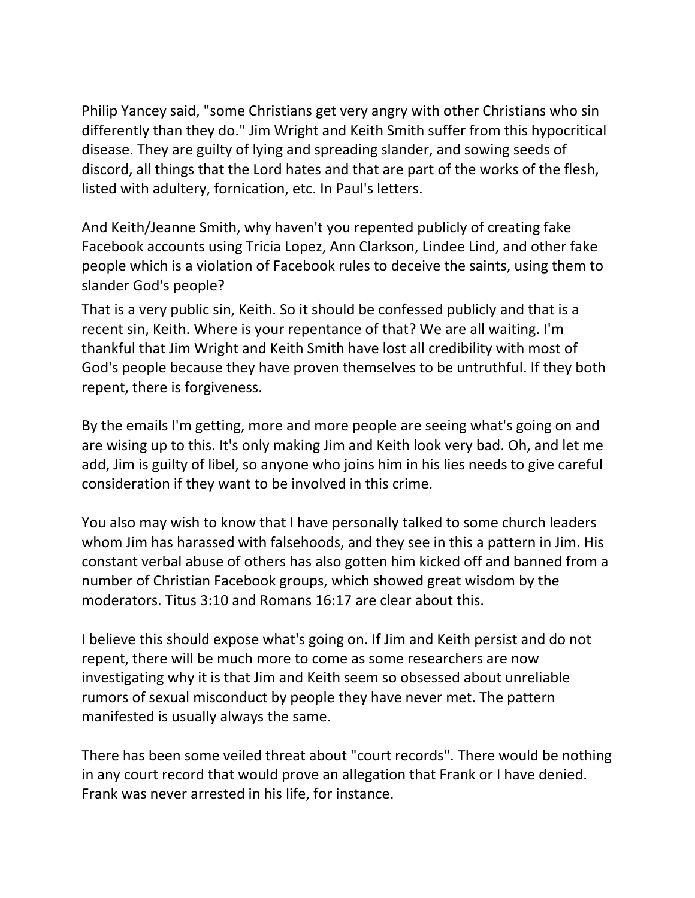Philip Yancey said, "some Christians get very angry with other Christians who sin differently than they do." Jim Wright and Keith Smith suffer from this hypocritical disease. They are guilty of lying and spreading slander, and sowing seeds of discord, all things that the Lord hates and that are part of the works of the flesh, listed with adultery, fornication, etc. In Paul's letters.

And Keith/Jeanne Smith, why haven't you repented publicly of creating fake Facebook accounts using Tricia Lopez, Ann Clarkson, Lindee Lind, and other fake people which is a violation of Facebook rules to deceive the saints, using them to slander God's people?

That is a very public sin, Keith. So it should be confessed publicly and that is a recent sin, Keith. Where is your repentance of that? We are all waiting. I'm thankful that Jim Wright and Keith Smith have lost all credibility with most of God's people because they have proven themselves to be untruthful. If they both repent, there is forgiveness.

By the emails I'm getting, more and more people are seeing what's going on and are wising up to this. It's only making Jim and Keith look very bad. Oh, and let me add, Jim is guilty of libel, so anyone who joins him in his lies needs to give careful consideration if they want to be involved in this crime.

You also may wish to know that I have personally talked to some church leaders whom Jim has harassed with falsehoods, and they see in this a pattern in Jim. His constant verbal abuse of others has also gotten him kicked off and banned from a number of Christian Facebook groups, which showed great wisdom by the moderators. Titus 3:10 and Romans 16:17 are clear about this.

I believe this should expose what's going on. If Jim and Keith persist and do not repent, there will be much more to come as some researchers are now investigating why it is that Jim and Keith seem so obsessed about unreliable rumors of sexual misconduct by people they have never met. The pattern manifested is usually always the same.

There has been some veiled threat about "court records". There would be nothing in any court record that would prove an allegation that Frank or I have denied. Frank was never arrested in his life, for instance.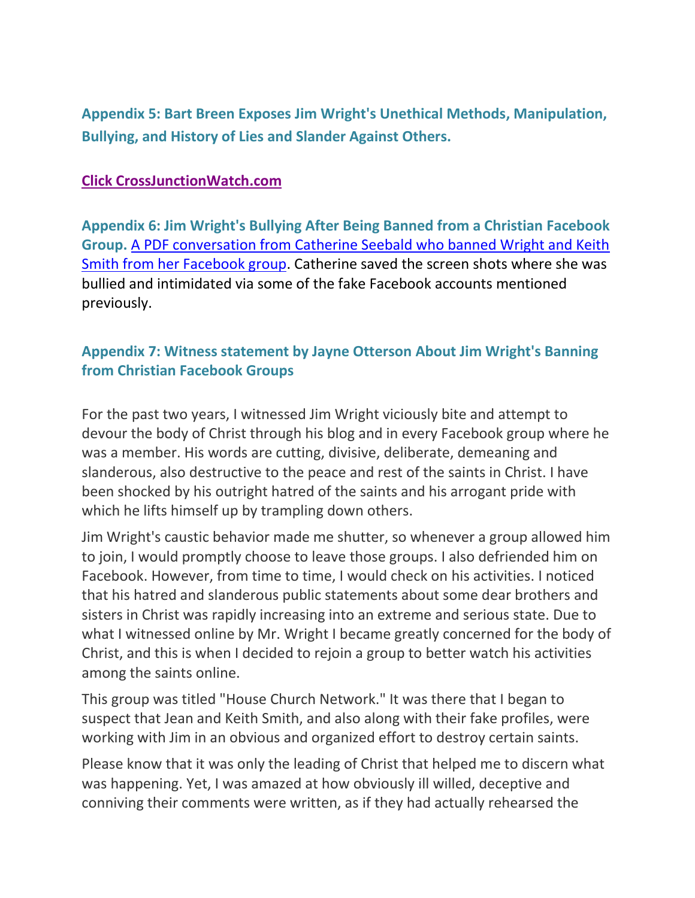**Appendix 5: Bart Breen Exposes Jim Wright's Unethical Methods, Manipulation, Bullying, and History of Lies and Slander Against Others.**

#### **[Click CrossJunctionWatch.com](http://bartbreen.wordpress.com/)**

**Appendix 6: Jim Wright's Bullying After Being Banned from a Christian Facebook Group.** [A PDF conversation from Catherine Seebald who banned Wright and Keith](http://searchingtogether.org/JimWrightKeithSmith.pdf)  [Smith from her Facebook group.](http://searchingtogether.org/JimWrightKeithSmith.pdf) Catherine saved the screen shots where she was bullied and intimidated via some of the fake Facebook accounts mentioned previously.

## **Appendix 7: Witness statement by Jayne Otterson About Jim Wright's Banning from Christian Facebook Groups**

For the past two years, I witnessed Jim Wright viciously bite and attempt to devour the body of Christ through his blog and in every Facebook group where he was a member. His words are cutting, divisive, deliberate, demeaning and slanderous, also destructive to the peace and rest of the saints in Christ. I have been shocked by his outright hatred of the saints and his arrogant pride with which he lifts himself up by trampling down others.

Jim Wright's caustic behavior made me shutter, so whenever a group allowed him to join, I would promptly choose to leave those groups. I also defriended him on Facebook. However, from time to time, I would check on his activities. I noticed that his hatred and slanderous public statements about some dear brothers and sisters in Christ was rapidly increasing into an extreme and serious state. Due to what I witnessed online by Mr. Wright I became greatly concerned for the body of Christ, and this is when I decided to rejoin a group to better watch his activities among the saints online.

This group was titled "House Church Network." It was there that I began to suspect that Jean and Keith Smith, and also along with their fake profiles, were working with Jim in an obvious and organized effort to destroy certain saints.

Please know that it was only the leading of Christ that helped me to discern what was happening. Yet, I was amazed at how obviously ill willed, deceptive and conniving their comments were written, as if they had actually rehearsed the